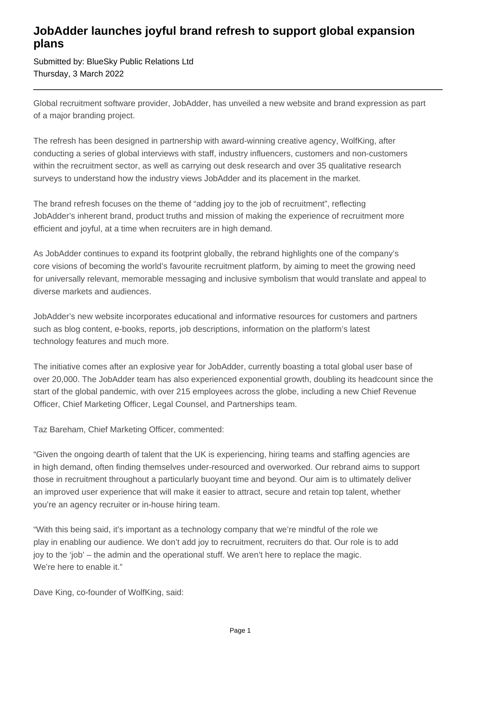## **JobAdder launches joyful brand refresh to support global expansion plans**

Submitted by: BlueSky Public Relations Ltd Thursday, 3 March 2022

Global recruitment software provider, JobAdder, has unveiled a new website and brand expression as part of a major branding project.

The refresh has been designed in partnership with award-winning creative agency, WolfKing, after conducting a series of global interviews with staff, industry influencers, customers and non-customers within the recruitment sector, as well as carrying out desk research and over 35 qualitative research surveys to understand how the industry views JobAdder and its placement in the market.

The brand refresh focuses on the theme of "adding joy to the job of recruitment", reflecting JobAdder's inherent brand, product truths and mission of making the experience of recruitment more efficient and joyful, at a time when recruiters are in high demand.

As JobAdder continues to expand its footprint globally, the rebrand highlights one of the company's core visions of becoming the world's favourite recruitment platform, by aiming to meet the growing need for universally relevant, memorable messaging and inclusive symbolism that would translate and appeal to diverse markets and audiences.

JobAdder's new website incorporates educational and informative resources for customers and partners such as blog content, e-books, reports, job descriptions, information on the platform's latest technology features and much more.

The initiative comes after an explosive year for JobAdder, currently boasting a total global user base of over 20,000. The JobAdder team has also experienced exponential growth, doubling its headcount since the start of the global pandemic, with over 215 employees across the globe, including a new Chief Revenue Officer, Chief Marketing Officer, Legal Counsel, and Partnerships team.

Taz Bareham, Chief Marketing Officer, commented:

"Given the ongoing dearth of talent that the UK is experiencing, hiring teams and staffing agencies are in high demand, often finding themselves under-resourced and overworked. Our rebrand aims to support those in recruitment throughout a particularly buoyant time and beyond. Our aim is to ultimately deliver an improved user experience that will make it easier to attract, secure and retain top talent, whether you're an agency recruiter or in-house hiring team.

"With this being said, it's important as a technology company that we're mindful of the role we play in enabling our audience. We don't add joy to recruitment, recruiters do that. Our role is to add joy to the 'job' – the admin and the operational stuff. We aren't here to replace the magic. We're here to enable it."

Dave King, co-founder of WolfKing, said: